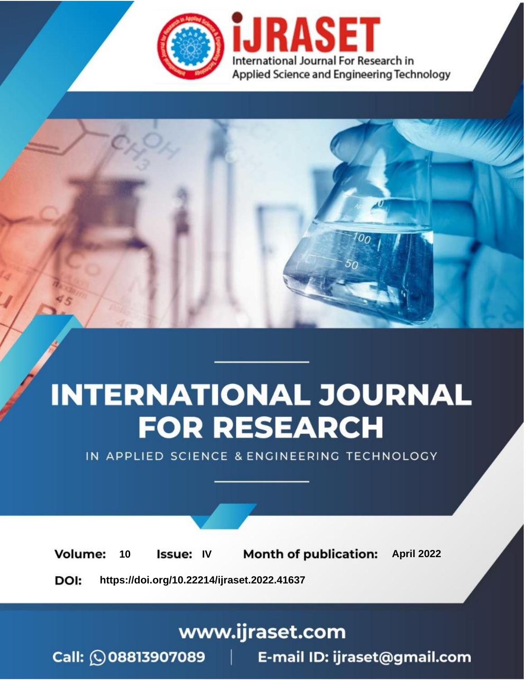

# **INTERNATIONAL JOURNAL FOR RESEARCH**

IN APPLIED SCIENCE & ENGINEERING TECHNOLOGY

10 **Issue: IV Month of publication:** April 2022 **Volume:** 

**https://doi.org/10.22214/ijraset.2022.41637**DOI:

www.ijraset.com

Call: 008813907089 | E-mail ID: ijraset@gmail.com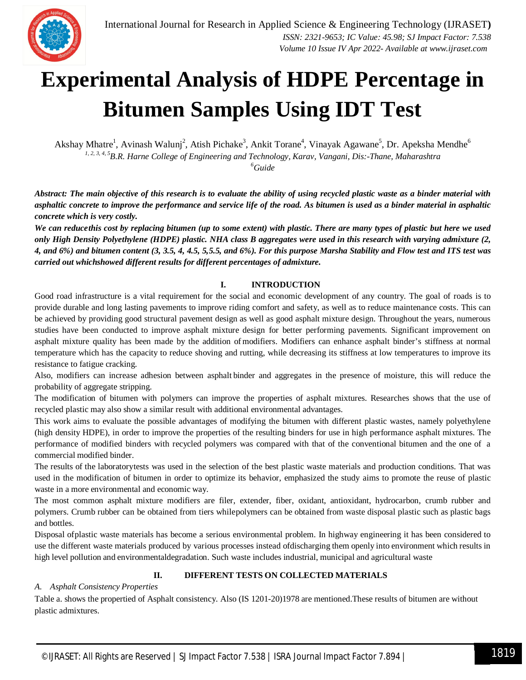

### **Experimental Analysis of HDPE Percentage in Bitumen Samples Using IDT Test**

Akshay Mhatre<sup>1</sup>, Avinash Walunj<sup>2</sup>, Atish Pichake<sup>3</sup>, Ankit Torane<sup>4</sup>, Vinayak Agawane<sup>5</sup>, Dr. Apeksha Mendhe<sup>6</sup> *1, 2, 3, 4, 5B.R. Harne College of Engineering and Technology, Karav, Vangani, Dis:-Thane, Maharashtra <sup>6</sup>Guide*

*Abstract: The main objective of this research is to evaluate the ability of using recycled plastic waste as a binder material with asphaltic concrete to improve the performance and service life of the road. As bitumen is used as a binder material in asphaltic concrete which is very costly.* 

*We can reducethis cost by replacing bitumen (up to some extent) with plastic. There are many types of plastic but here we used only High Density Polyethylene (HDPE) plastic. NHA class B aggregates were used in this research with varying admixture (2, 4, and 6%) and bitumen content (3, 3.5, 4, 4.5, 5,5.5, and 6%). For this purpose Marsha Stability and Flow test and ITS test was carried out whichshowed different results for different percentages of admixture.*

#### **I. INTRODUCTION**

Good road infrastructure is a vital requirement for the social and economic development of any country. The goal of roads is to provide durable and long lasting pavements to improve riding comfort and safety, as well as to reduce maintenance costs. This can be achieved by providing good structural pavement design as well as good asphalt mixture design. Throughout the years, numerous studies have been conducted to improve asphalt mixture design for better performing pavements. Significant improvement on asphalt mixture quality has been made by the addition ofmodifiers. Modifiers can enhance asphalt binder's stiffness at normal temperature which has the capacity to reduce shoving and rutting, while decreasing its stiffness at low temperatures to improve its resistance to fatigue cracking.

Also, modifiers can increase adhesion between asphalt binder and aggregates in the presence of moisture, this will reduce the probability of aggregate stripping.

The modification of bitumen with polymers can improve the properties of asphalt mixtures. Researches shows that the use of recycled plastic may also show a similar result with additional environmental advantages.

This work aims to evaluate the possible advantages of modifying the bitumen with different plastic wastes, namely polyethylene (high density HDPE), in order to improve the properties of the resulting binders for use in high performance asphalt mixtures. The performance of modified binders with recycled polymers was compared with that of the conventional bitumen and the one of a commercial modified binder.

The results of the laboratorytests was used in the selection of the best plastic waste materials and production conditions. That was used in the modification of bitumen in order to optimize its behavior, emphasized the study aims to promote the reuse of plastic waste in a more environmental and economic way.

The most common asphalt mixture modifiers are filer, extender, fiber, oxidant, antioxidant, hydrocarbon, crumb rubber and polymers. Crumb rubber can be obtained from tiers whilepolymers can be obtained from waste disposal plastic such as plastic bags and bottles.

Disposal ofplastic waste materials has become a serious environmental problem. In highway engineering it has been considered to use the different waste materials produced by various processes instead ofdischarging them openly into environment which results in high level pollution and environmentaldegradation. Such waste includes industrial, municipal and agricultural waste

#### **II. DIFFERENT TESTS ON COLLECTED MATERIALS**

#### *A. Asphalt Consistency Properties*

Table a. shows the propertied of Asphalt consistency. Also (IS 1201-20)1978 are mentioned.These results of bitumen are without plastic admixtures.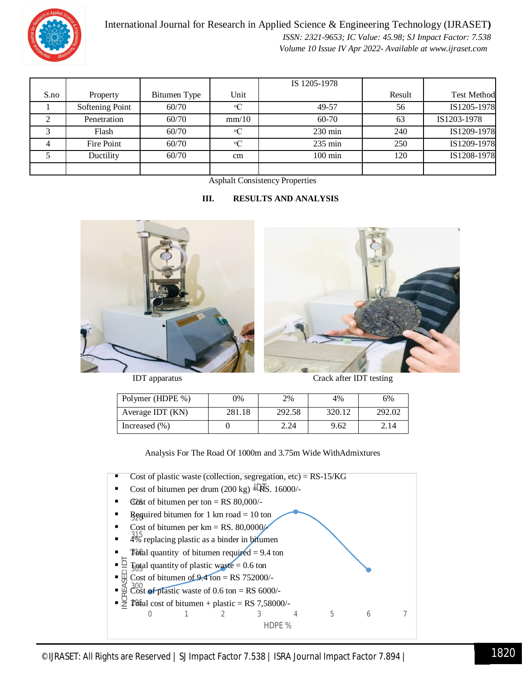

International Journal for Research in Applied Science & Engineering Technology (IJRASET**)**  *ISSN: 2321-9653; IC Value: 45.98; SJ Impact Factor: 7.538 Volume 10 Issue IV Apr 2022- Available at www.ijraset.com*

|      |                 |              |             | IS 1205-1978      |        |                    |
|------|-----------------|--------------|-------------|-------------------|--------|--------------------|
| S.no | Property        | Bitumen Type | Unit        |                   | Result | <b>Test Method</b> |
|      | Softening Point | 60/70        | $\rm ^{o}C$ | 49-57             | 56     | IS1205-1978        |
|      | Penetration     | 60/70        | mm/10       | 60-70             | 63     | IS1203-1978        |
|      | Flash           | 60/70        | $\rm ^{o}C$ | $230 \text{ min}$ | 240    | IS1209-1978        |
|      | Fire Point      | 60/70        | $\rm ^{o}C$ | $235 \text{ min}$ | 250    | IS1209-1978        |
|      | Ductility       | 60/70        | cm          | $100 \text{ min}$ | 120    | IS1208-1978        |
|      |                 |              |             |                   |        |                    |

Asphalt Consistency Properties

#### **III. RESULTS AND ANALYSIS**





IDT apparatus Crack after IDT testing

| Polymer (HDPE %)  | 0%     | 2%     | 4%     | 6%     |
|-------------------|--------|--------|--------|--------|
| Average IDT (KN)  | 281.18 | 292.58 | 320.12 | 292.02 |
| Increased $(\% )$ |        | 2.24   | 9.62   | 2.14   |

Analysis For The Road Of 1000m and 3.75m Wide WithAdmixtures

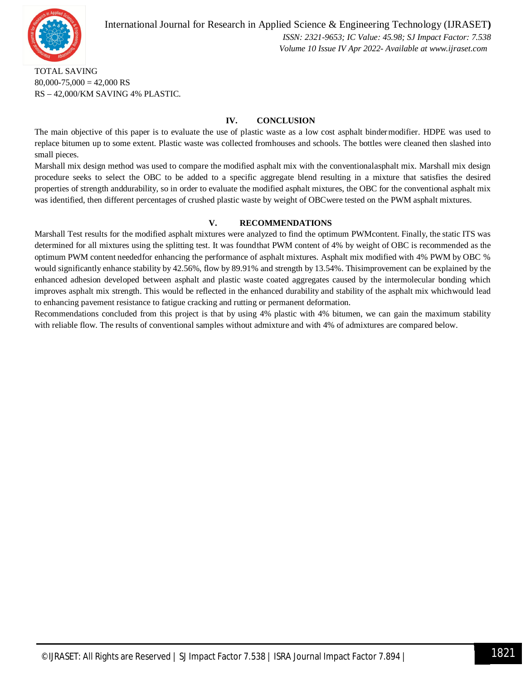

International Journal for Research in Applied Science & Engineering Technology (IJRASET**)**  *ISSN: 2321-9653; IC Value: 45.98; SJ Impact Factor: 7.538 Volume 10 Issue IV Apr 2022- Available at www.ijraset.com*

TOTAL SAVING  $80,000 - 75,000 = 42,000$  RS RS – 42,000/KM SAVING 4% PLASTIC.

#### **IV. CONCLUSION**

The main objective of this paper is to evaluate the use of plastic waste as a low cost asphalt bindermodifier. HDPE was used to replace bitumen up to some extent. Plastic waste was collected fromhouses and schools. The bottles were cleaned then slashed into small pieces.

Marshall mix design method was used to compare the modified asphalt mix with the conventionalasphalt mix. Marshall mix design procedure seeks to select the OBC to be added to a specific aggregate blend resulting in a mixture that satisfies the desired properties of strength anddurability, so in order to evaluate the modified asphalt mixtures, the OBC for the conventional asphalt mix was identified, then different percentages of crushed plastic waste by weight of OBCwere tested on the PWM asphalt mixtures.

#### **V. RECOMMENDATIONS**

Marshall Test results for the modified asphalt mixtures were analyzed to find the optimum PWMcontent. Finally, the static ITS was determined for all mixtures using the splitting test. It was foundthat PWM content of 4% by weight of OBC is recommended as the optimum PWM content neededfor enhancing the performance of asphalt mixtures. Asphalt mix modified with 4% PWM by OBC % would significantly enhance stability by 42.56%, flow by 89.91% and strength by 13.54%. Thisimprovement can be explained by the enhanced adhesion developed between asphalt and plastic waste coated aggregates caused by the intermolecular bonding which improves asphalt mix strength. This would be reflected in the enhanced durability and stability of the asphalt mix whichwould lead to enhancing pavement resistance to fatigue cracking and rutting or permanent deformation.

Recommendations concluded from this project is that by using 4% plastic with 4% bitumen, we can gain the maximum stability with reliable flow. The results of conventional samples without admixture and with 4% of admixtures are compared below.